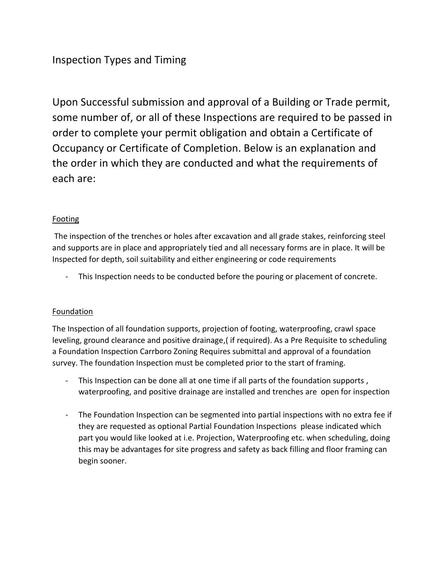# Inspection Types and Timing

Upon Successful submission and approval of a Building or Trade permit, some number of, or all of these Inspections are required to be passed in order to complete your permit obligation and obtain a Certificate of Occupancy or Certificate of Completion. Below is an explanation and the order in which they are conducted and what the requirements of each are:

## **Footing**

The inspection of the trenches or holes after excavation and all grade stakes, reinforcing steel and supports are in place and appropriately tied and all necessary forms are in place. It will be Inspected for depth, soil suitability and either engineering or code requirements

This Inspection needs to be conducted before the pouring or placement of concrete.

# **Foundation**

The Inspection of all foundation supports, projection of footing, waterproofing, crawl space leveling, ground clearance and positive drainage,( if required). As a Pre Requisite to scheduling a Foundation Inspection Carrboro Zoning Requires submittal and approval of a foundation survey. The foundation Inspection must be completed prior to the start of framing.

- This Inspection can be done all at one time if all parts of the foundation supports, waterproofing, and positive drainage are installed and trenches are open for inspection
- The Foundation Inspection can be segmented into partial inspections with no extra fee if they are requested as optional Partial Foundation Inspections please indicated which part you would like looked at i.e. Projection, Waterproofing etc. when scheduling, doing this may be advantages for site progress and safety as back filling and floor framing can begin sooner.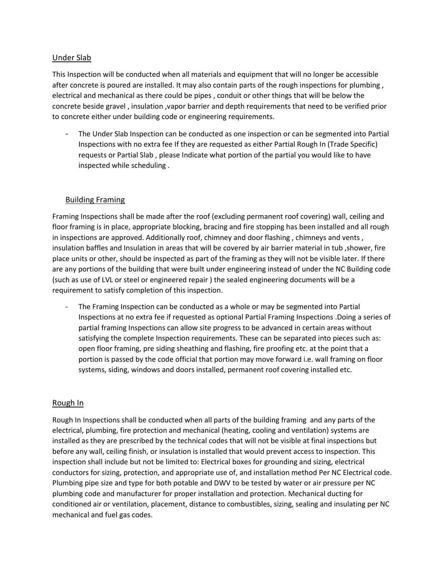### Under Slab

This Inspection will be conducted when all materials and equipment that will no longer be accessible after concrete is poured are installed. It may also contain parts of the rough inspections for plumbing , electrical and mechanical as there could be pipes , conduit or other things that will be below the concrete beside gravel , insulation ,vapor barrier and depth requirements that need to be verified prior to concrete either under building code or engineering requirements.

The Under Slab Inspection can be conducted as one inspection or can be segmented into Partial Inspections with no extra fee If they are requested as either Partial Rough In (Trade Specific) requests or Partial Slab , please Indicate what portion of the partial you would like to have inspected while scheduling .

## Building Framing

Framing Inspections shall be made after the roof (excluding permanent roof covering) wall, ceiling and floor framing is in place, appropriate blocking, bracing and fire stopping has been installed and all rough in inspections are approved. Additionally roof, chimney and door flashing , chimneys and vents , insulation baffles and Insulation in areas that will be covered by air barrier material in tub ,shower, fire place units or other, should be inspected as part of the framing as they will not be visible later. If there are any portions of the building that were built under engineering instead of under the NC Building code (such as use of LVL or steel or engineered repair ) the sealed engineering documents will be a requirement to satisfy completion of this inspection.

The Framing Inspection can be conducted as a whole or may be segmented into Partial Inspections at no extra fee if requested as optional Partial Framing Inspections .Doing a series of partial framing Inspections can allow site progress to be advanced in certain areas without satisfying the complete Inspection requirements. These can be separated into pieces such as: open floor framing, pre siding sheathing and flashing, fire proofing etc. at the point that a portion is passed by the code official that portion may move forward i.e. wall framing on floor systems, siding, windows and doors installed, permanent roof covering installed etc.

#### Rough In

Rough In Inspections shall be conducted when all parts of the building framing and any parts of the electrical, plumbing, fire protection and mechanical (heating, cooling and ventilation) systems are installed as they are prescribed by the technical codes that will not be visible at final inspections but before any wall, ceiling finish, or insulation is installed that would prevent access to inspection. This inspection shall include but not be limited to: Electrical boxes for grounding and sizing, electrical conductors for sizing, protection, and appropriate use of, and installation method Per NC Electrical code. Plumbing pipe size and type for both potable and DWV to be tested by water or air pressure per NC plumbing code and manufacturer for proper installation and protection. Mechanical ducting for conditioned air or ventilation, placement, distance to combustibles, sizing, sealing and insulating per NC mechanical and fuel gas codes.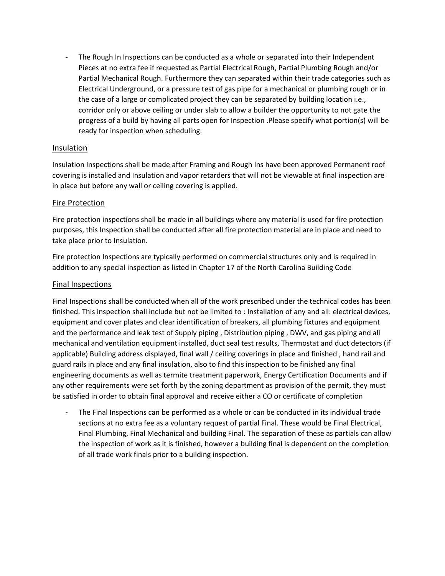The Rough In Inspections can be conducted as a whole or separated into their Independent Pieces at no extra fee if requested as Partial Electrical Rough, Partial Plumbing Rough and/or Partial Mechanical Rough. Furthermore they can separated within their trade categories such as Electrical Underground, or a pressure test of gas pipe for a mechanical or plumbing rough or in the case of a large or complicated project they can be separated by building location i.e., corridor only or above ceiling or under slab to allow a builder the opportunity to not gate the progress of a build by having all parts open for Inspection .Please specify what portion(s) will be ready for inspection when scheduling.

## Insulation

Insulation Inspections shall be made after Framing and Rough Ins have been approved Permanent roof covering is installed and Insulation and vapor retarders that will not be viewable at final inspection are in place but before any wall or ceiling covering is applied.

#### Fire Protection

Fire protection inspections shall be made in all buildings where any material is used for fire protection purposes, this Inspection shall be conducted after all fire protection material are in place and need to take place prior to Insulation.

Fire protection Inspections are typically performed on commercial structures only and is required in addition to any special inspection as listed in Chapter 17 of the North Carolina Building Code

#### Final Inspections

Final Inspections shall be conducted when all of the work prescribed under the technical codes has been finished. This inspection shall include but not be limited to : Installation of any and all: electrical devices, equipment and cover plates and clear identification of breakers, all plumbing fixtures and equipment and the performance and leak test of Supply piping , Distribution piping , DWV, and gas piping and all mechanical and ventilation equipment installed, duct seal test results, Thermostat and duct detectors (if applicable) Building address displayed, final wall / ceiling coverings in place and finished , hand rail and guard rails in place and any final insulation, also to find this inspection to be finished any final engineering documents as well as termite treatment paperwork, Energy Certification Documents and if any other requirements were set forth by the zoning department as provision of the permit, they must be satisfied in order to obtain final approval and receive either a CO or certificate of completion

The Final Inspections can be performed as a whole or can be conducted in its individual trade sections at no extra fee as a voluntary request of partial Final. These would be Final Electrical, Final Plumbing, Final Mechanical and building Final. The separation of these as partials can allow the inspection of work as it is finished, however a building final is dependent on the completion of all trade work finals prior to a building inspection.